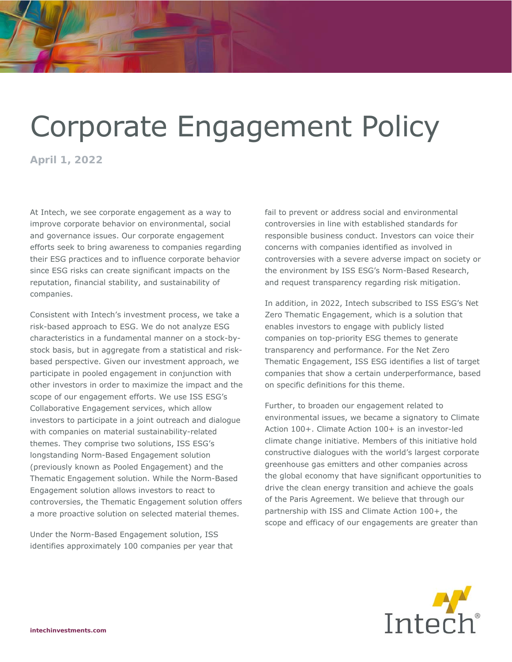## Corporate Engagement Policy

**April 1, 2022** 

At Intech, we see corporate engagement as a way to improve corporate behavior on environmental, social and governance issues. Our corporate engagement efforts seek to bring awareness to companies regarding their ESG practices and to influence corporate behavior since ESG risks can create significant impacts on the reputation, financial stability, and sustainability of companies.

Consistent with Intech's investment process, we take a risk-based approach to ESG. We do not analyze ESG characteristics in a fundamental manner on a stock-bystock basis, but in aggregate from a statistical and riskbased perspective. Given our investment approach, we participate in pooled engagement in conjunction with other investors in order to maximize the impact and the scope of our engagement efforts. We use ISS ESG's Collaborative Engagement services, which allow investors to participate in a joint outreach and dialogue with companies on material sustainability-related themes. They comprise two solutions, ISS ESG's longstanding Norm-Based Engagement solution (previously known as Pooled Engagement) and the Thematic Engagement solution. While the Norm-Based Engagement solution allows investors to react to controversies, the Thematic Engagement solution offers a more proactive solution on selected material themes.

Under the Norm-Based Engagement solution, ISS identifies approximately 100 companies per year that fail to prevent or address social and environmental controversies in line with established standards for responsible business conduct. Investors can voice their concerns with companies identified as involved in controversies with a severe adverse impact on society or the environment by ISS ESG's Norm-Based Research, and request transparency regarding risk mitigation.

In addition, in 2022, Intech subscribed to ISS ESG's Net Zero Thematic Engagement, which is a solution that enables investors to engage with publicly listed companies on top-priority ESG themes to generate transparency and performance. For the Net Zero Thematic Engagement, ISS ESG identifies a list of target companies that show a certain underperformance, based on specific definitions for this theme.

Further, to broaden our engagement related to environmental issues, we became a signatory to Climate Action 100+. Climate Action 100+ is an investor-led climate change initiative. Members of this initiative hold constructive dialogues with the world's largest corporate greenhouse gas emitters and other companies across the global economy that have significant opportunities to drive the clean energy transition and achieve the goals of the Paris Agreement. We believe that through our partnership with ISS and Climate Action 100+, the scope and efficacy of our engagements are greater than